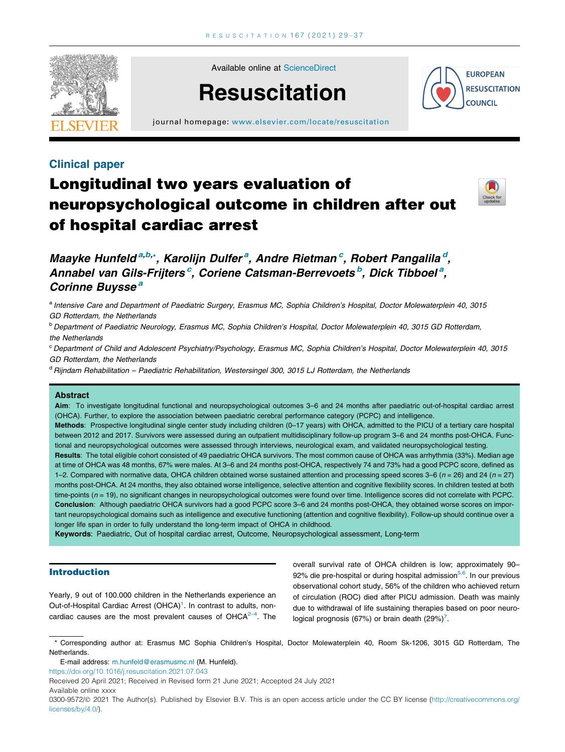

Available online at [ScienceDirect](http://www.sciencedirect.com/science/journal/03009572)

# **Resuscitation**



journal homepage: [www.elsevier.com/locate/resuscitation](http://www.elsevier.com/locate/resuscitation)

# Clinical paper

# Longitudinal two years evaluation of neuropsychological outcome in children after out of hospital cardiac arrest



# Maayke Hunfeld<sup>a,b,\*</sup>, Karolijn Dulfer<sup>a</sup>, Andre Rietman<sup>c</sup>, Robert Pangalila<sup>d</sup>, Annabel van Gils-Frijters<sup>c</sup>, Coriene Catsman-Berrevoets<sup>b</sup>, Dick Tibboel<sup>a</sup>, Corinne Buysse<sup>a</sup>

a Intensive Care and Department of Paediatric Surgery, Erasmus MC, Sophia Children's Hospital, Doctor Molewaterplein 40, 3015 GD Rotterdam, the Netherlands

<sup>b</sup> Department of Paediatric Neurology, Erasmus MC, Sophia Children's Hospital, Doctor Molewaterplein 40, 3015 GD Rotterdam, the Netherlands

<sup>c</sup> Department of Child and Adolescent Psychiatry/Psychology, Erasmus MC, Sophia Children's Hospital, Doctor Molewaterplein 40, 3015 GD Rotterdam, the Netherlands

<sup>d</sup> Rijndam Rehabilitation – Paediatric Rehabilitation, Westersingel 300, 3015 LJ Rotterdam, the Netherlands

### Abstract

Aim: To investigate longitudinal functional and neuropsychological outcomes 3-6 and 24 months after paediatric out-of-hospital cardiac arrest (OHCA). Further, to explore the association between paediatric cerebral performance category (PCPC) and intelligence.

Methods: Prospective longitudinal single center study including children (0–17 years) with OHCA, admitted to the PICU of a tertiary care hospital between 2012 and 2017. Survivors were assessed during an outpatient multidisciplinary follow-up program 3–6 and 24 months post-OHCA. Functional and neuropsychological outcomes were assessed through interviews, neurological exam, and validated neuropsychological testing.

Results: The total eligible cohort consisted of 49 paediatric OHCA survivors. The most common cause of OHCA was arrhythmia (33%). Median age at time of OHCA was 48 months, 67% were males. At 3–6 and 24 months post-OHCA, respectively 74 and 73% had a good PCPC score, defined as 1–2. Compared with normative data, OHCA children obtained worse sustained attention and processing speed scores 3–6 ( $n = 26$ ) and 24 ( $n = 27$ ) months post-OHCA. At 24 months, they also obtained worse intelligence, selective attention and cognitive flexibility scores. In children tested at both time-points  $(n = 19)$ , no significant changes in neuropsychological outcomes were found over time. Intelligence scores did not correlate with PCPC. Conclusion: Although paediatric OHCA survivors had a good PCPC score 3–6 and 24 months post-OHCA, they obtained worse scores on important neuropsychological domains such as intelligence and executive functioning (attention and cognitive flexibility). Follow-up should continue over a longer life span in order to fully understand the long-term impact of OHCA in childhood.

Keywords: Paediatric, Out of hospital cardiac arrest, Outcome, Neuropsychological assessment, Long-term

# Introduction

Yearly, 9 out of 100.000 children in the Netherlands experience an Out-of-Hospital Cardiac Arrest (OHCA)<sup>1</sup>. In contrast to adults, noncardiac causes are the most prevalent causes of  $OHCA<sup>2-4</sup>$ . The

overall survival rate of OHCA children is low; approximately 90– 92% die pre-hospital or during hospital admission<sup>5,6</sup>. In our previous observational cohort study, 56% of the children who achieved return of circulation (ROC) died after PICU admission. Death was mainly due to withdrawal of life sustaining therapies based on poor neurological prognosis (67%) or brain death  $(29\%)^7$ .

\* Corresponding author at: Erasmus MC Sophia Children's Hospital, Doctor Molewaterplein 40, Room Sk-1206, 3015 GD Rotterdam, The Netherlands.

E-mail address: [m.hunfeld@erasmusmc.nl](mailto:m.hunfeld@erasmusmc.nl) (M. Hunfeld).

<https://doi.org/10.1016/j.resuscitation.2021.07.043>

Received 20 April 2021; Received in Revised form 21 June 2021; Accepted 24 July 2021

Available online xxxx

<sup>0300-9572/@ 2021</sup> The Author(s). Published by Elsevier B.V. This is an open access article under the CC BY license [\(http://creativecommons.org/](http://creativecommons.org/licenses/by/4.0/) [licenses/by/4.0/](http://creativecommons.org/licenses/by/4.0/)).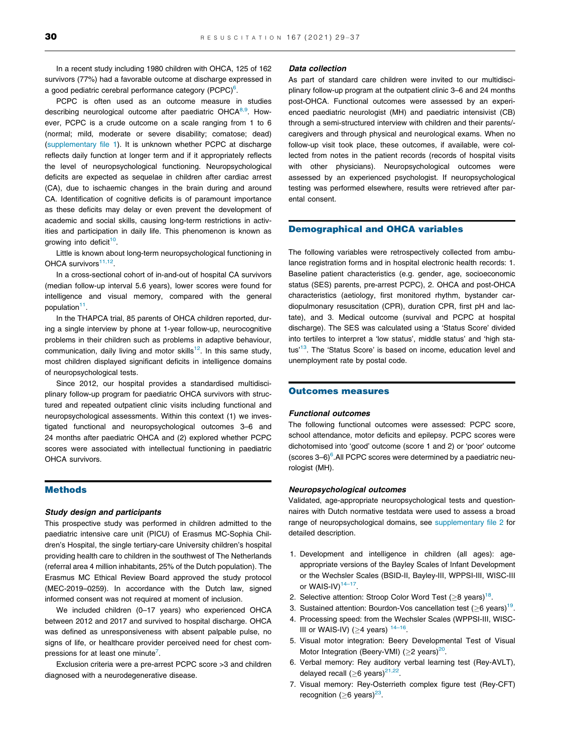In a recent study including 1980 children with OHCA, 125 of 162 survivors (77%) had a favorable outcome at discharge expressed in a good pediatric cerebral performance category (PCPC) $^6$  $^6$ .

PCPC is often used as an outcome measure in studies describing neurological outcome after paediatric  $OHCA<sup>8,9</sup>$ . However, PCPC is a crude outcome on a scale ranging from 1 to 6 (normal; mild, moderate or severe disability; comatose; dead) (supplementary file 1). It is unknown whether PCPC at discharge reflects daily function at longer term and if it appropriately reflects the level of neuropsychological functioning. Neuropsychological deficits are expected as sequelae in children after cardiac arrest (CA), due to ischaemic changes in the brain during and around CA. Identification of cognitive deficits is of paramount importance as these deficits may delay or even prevent the development of academic and social skills, causing long-term restrictions in activities and participation in daily life. This phenomenon is known as growing into deficit<sup>[10](#page-8-0)</sup>.

Little is known about long-term neuropsychological functioning in OHCA survivors $11,12$ .

In a cross-sectional cohort of in-and-out of hospital CA survivors (median follow-up interval 5.6 years), lower scores were found for intelligence and visual memory, compared with the general population<sup>[11](#page-8-0)</sup>.

In the THAPCA trial, 85 parents of OHCA children reported, during a single interview by phone at 1-year follow-up, neurocognitive problems in their children such as problems in adaptive behaviour, communication, daily living and motor skills $12$ . In this same study, most children displayed significant deficits in intelligence domains of neuropsychological tests.

Since 2012, our hospital provides a standardised multidisciplinary follow-up program for paediatric OHCA survivors with structured and repeated outpatient clinic visits including functional and neuropsychological assessments. Within this context (1) we investigated functional and neuropsychological outcomes 3–6 and 24 months after paediatric OHCA and (2) explored whether PCPC scores were associated with intellectual functioning in paediatric OHCA survivors.

# Methods

# Study design and participants

This prospective study was performed in children admitted to the paediatric intensive care unit (PICU) of Erasmus MC-Sophia Children's Hospital, the single tertiary-care University children's hospital providing health care to children in the southwest of The Netherlands (referral area 4 million inhabitants, 25% of the Dutch population). The Erasmus MC Ethical Review Board approved the study protocol (MEC-2019–0259). In accordance with the Dutch law, signed informed consent was not required at moment of inclusion.

We included children (0–17 years) who experienced OHCA between 2012 and 2017 and survived to hospital discharge. OHCA was defined as unresponsiveness with absent palpable pulse, no signs of life, or healthcare provider perceived need for chest compressions for at least one minute<sup>7</sup>.

Exclusion criteria were a pre-arrest PCPC score >3 and children diagnosed with a neurodegenerative disease.

# Data collection

As part of standard care children were invited to our multidisciplinary follow-up program at the outpatient clinic 3–6 and 24 months post-OHCA. Functional outcomes were assessed by an experienced paediatric neurologist (MH) and paediatric intensivist (CB) through a semi-structured interview with children and their parents/ caregivers and through physical and neurological exams. When no follow-up visit took place, these outcomes, if available, were collected from notes in the patient records (records of hospital visits with other physicians). Neuropsychological outcomes were assessed by an experienced psychologist. If neuropsychological testing was performed elsewhere, results were retrieved after parental consent.

# Demographical and OHCA variables

The following variables were retrospectively collected from ambulance registration forms and in hospital electronic health records: 1. Baseline patient characteristics (e.g. gender, age, socioeconomic status (SES) parents, pre-arrest PCPC), 2. OHCA and post-OHCA characteristics (aetiology, first monitored rhythm, bystander cardiopulmonary resuscitation (CPR), duration CPR, first pH and lactate), and 3. Medical outcome (survival and PCPC at hospital discharge). The SES was calculated using a 'Status Score' divided into tertiles to interpret a 'low status', middle status' and 'high sta-tus<sup>'[13](#page-8-0)</sup>. The 'Status Score' is based on income, education level and unemployment rate by postal code.

# Outcomes measures

#### Functional outcomes

The following functional outcomes were assessed: PCPC score, school attendance, motor deficits and epilepsy. PCPC scores were dichotomised into 'good' outcome (score 1 and 2) or 'poor' outcome  $(scores 3-6)^6$ . All PCPC scores were determined by a paediatric neurologist (MH).

#### Neuropsychological outcomes

Validated, age-appropriate neuropsychological tests and questionnaires with Dutch normative testdata were used to assess a broad range of neuropsychological domains, see supplementary file 2 for detailed description.

- 1. Development and intelligence in children (all ages): ageappropriate versions of the Bayley Scales of Infant Development or the Wechsler Scales (BSID-II, Bayley-III, WPPSI-III, WISC-III or WAIS-IV) $14-17$ .
- 2. Selective attention: Stroop Color Word Test  $(≥8 \text{ years})^{18}$ .
- 3. Sustained attention: Bourdon-Vos cancellation test ( $\geq$ 6 years)<sup>[19](#page-8-0)</sup>.
- 4. Processing speed: from the Wechsler Scales (WPPSI-III, WISC-III or WAIS-IV) ( $\geq$ 4 years)  $14-16$ .
- 5. Visual motor integration: Beery Developmental Test of Visual Motor Integration (Beery-VMI) ( $\geq$ 2 years)<sup>[20](#page-8-0)</sup>.
- 6. Verbal memory: Rey auditory verbal learning test (Rey-AVLT), delayed recall  $(>6$  years)<sup>21,22</sup>.
- 7. Visual memory: Rey-Osterrieth complex figure test (Rey-CFT) recognition ( $\geq$ 6 years)<sup>23</sup>.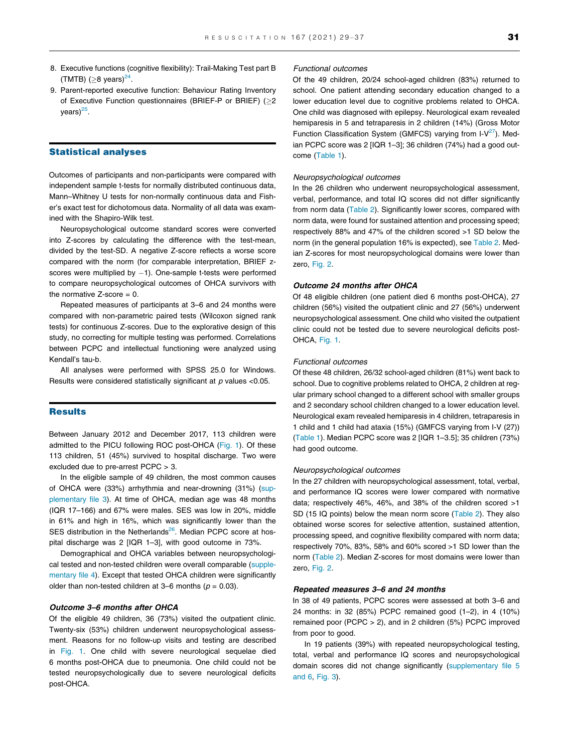- 8. Executive functions (cognitive flexibility): Trail-Making Test part B (TMTB) ( $>8$  years)<sup>24</sup>.
- 9. Parent-reported executive function: Behaviour Rating Inventory of Executive Function questionnaires (BRIEF-P or BRIEF) (2  $vears$ <sup>[25](#page-8-0)</sup>.

### Statistical analyses

Outcomes of participants and non-participants were compared with independent sample t-tests for normally distributed continuous data, Mann–Whitney U tests for non-normally continuous data and Fisher's exact test for dichotomous data. Normality of all data was examined with the Shapiro-Wilk test.

Neuropsychological outcome standard scores were converted into Z-scores by calculating the difference with the test-mean, divided by the test-SD. A negative Z-score reflects a worse score compared with the norm (for comparable interpretation, BRIEF zscores were multiplied by  $-1$ ). One-sample t-tests were performed to compare neuropsychological outcomes of OHCA survivors with the normative  $Z$ -score = 0.

Repeated measures of participants at 3–6 and 24 months were compared with non-parametric paired tests (Wilcoxon signed rank tests) for continuous Z-scores. Due to the explorative design of this study, no correcting for multiple testing was performed. Correlations between PCPC and intellectual functioning were analyzed using Kendall's tau-b.

All analyses were performed with SPSS 25.0 for Windows. Results were considered statistically significant at  $p$  values <0.05.

## **Results**

Between January 2012 and December 2017, 113 children were admitted to the PICU following ROC post-OHCA ([Fig. 1](#page-4-0)). Of these 113 children, 51 (45%) survived to hospital discharge. Two were excluded due to pre-arrest PCPC > 3.

In the eligible sample of 49 children, the most common causes of OHCA were (33%) arrhythmia and near-drowning (31%) (supplementary file 3). At time of OHCA, median age was 48 months (IQR 17–166) and 67% were males. SES was low in 20%, middle in 61% and high in 16%, which was significantly lower than the SES distribution in the Netherlands $^{26}$  $^{26}$  $^{26}$ . Median PCPC score at hospital discharge was 2 [IQR 1–3], with good outcome in 73%.

Demographical and OHCA variables between neuropsychological tested and non-tested children were overall comparable (supplementary file 4). Except that tested OHCA children were significantly older than non-tested children at 3–6 months ( $p = 0.03$ ).

### Outcome 3–6 months after OHCA

Of the eligible 49 children, 36 (73%) visited the outpatient clinic. Twenty-six (53%) children underwent neuropsychological assessment. Reasons for no follow-up visits and testing are described in [Fig. 1.](#page-4-0) One child with severe neurological sequelae died 6 months post-OHCA due to pneumonia. One child could not be tested neuropsychologically due to severe neurological deficits post-OHCA.

#### Functional outcomes

Of the 49 children, 20/24 school-aged children (83%) returned to school. One patient attending secondary education changed to a lower education level due to cognitive problems related to OHCA. One child was diagnosed with epilepsy. Neurological exam revealed hemiparesis in 5 and tetraparesis in 2 children (14%) (Gross Motor Function Classification System (GMFCS) varying from  $I-V^{27}$  $I-V^{27}$  $I-V^{27}$ ). Median PCPC score was 2 [IQR 1–3]; 36 children (74%) had a good outcome ([Table 1](#page-4-0)).

#### Neuropsychological outcomes

In the 26 children who underwent neuropsychological assessment, verbal, performance, and total IQ scores did not differ significantly from norm data [\(Table 2\)](#page-5-0). Significantly lower scores, compared with norm data, were found for sustained attention and processing speed; respectively 88% and 47% of the children scored >1 SD below the norm (in the general population 16% is expected), see [Table 2.](#page-5-0) Median Z-scores for most neuropsychological domains were lower than zero, [Fig. 2.](#page-5-0)

#### Outcome 24 months after OHCA

Of 48 eligible children (one patient died 6 months post-OHCA), 27 children (56%) visited the outpatient clinic and 27 (56%) underwent neuropsychological assessment. One child who visited the outpatient clinic could not be tested due to severe neurological deficits post-OHCA, [Fig. 1.](#page-4-0)

# Functional outcomes

Of these 48 children, 26/32 school-aged children (81%) went back to school. Due to cognitive problems related to OHCA, 2 children at regular primary school changed to a different school with smaller groups and 2 secondary school children changed to a lower education level. Neurological exam revealed hemiparesis in 4 children, tetraparesis in 1 child and 1 child had ataxia (15%) (GMFCS varying from I-V (27)) ([Table 1\)](#page-4-0). Median PCPC score was 2 [IQR 1–3.5]; 35 children (73%) had good outcome.

#### Neuropsychological outcomes

In the 27 children with neuropsychological assessment, total, verbal, and performance IQ scores were lower compared with normative data; respectively 46%, 46%, and 38% of the children scored >1 SD (15 IQ points) below the mean norm score ([Table 2\)](#page-5-0). They also obtained worse scores for selective attention, sustained attention, processing speed, and cognitive flexibility compared with norm data; respectively 70%, 83%, 58% and 60% scored >1 SD lower than the norm [\(Table 2\)](#page-5-0). Median Z-scores for most domains were lower than zero, [Fig. 2.](#page-5-0)

#### Repeated measures 3–6 and 24 months

In 38 of 49 patients, PCPC scores were assessed at both 3–6 and 24 months: in 32 (85%) PCPC remained good (1–2), in 4 (10%) remained poor (PCPC > 2), and in 2 children (5%) PCPC improved from poor to good.

In 19 patients (39%) with repeated neuropsychological testing, total, verbal and performance IQ scores and neuropsychological domain scores did not change significantly (supplementary file 5 and 6, [Fig. 3](#page-6-0)).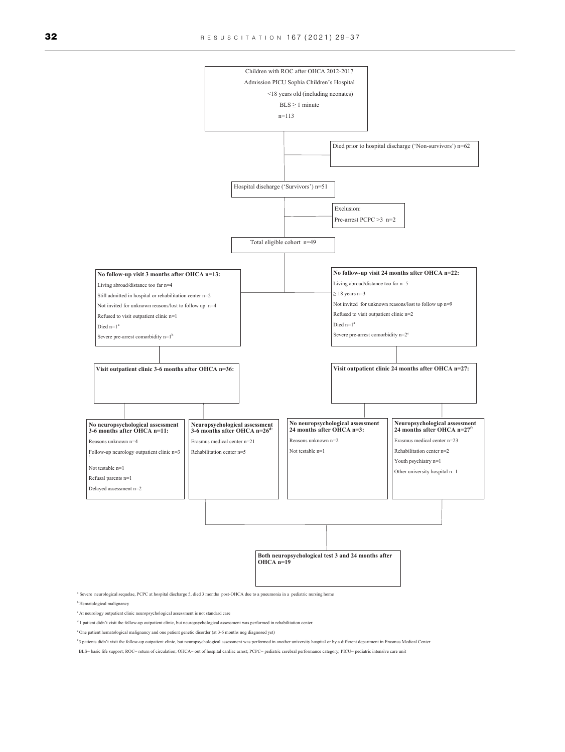

e One patient hematological malignancy and one patient genetic disorder (at 3-6 months nog diagnosed yet)

f 3 patients didn't visit the follow-up outpatient clinic, but neuropsychological assessment was performed in another university hospital or by a different department in Erasmus Medical Center

BLS= basic life support; ROC= return of circulation; OHCA= out of hospital cardiac arrest; PCPC= pediatric cerebral performance category; PICU= pediatric intensive care unit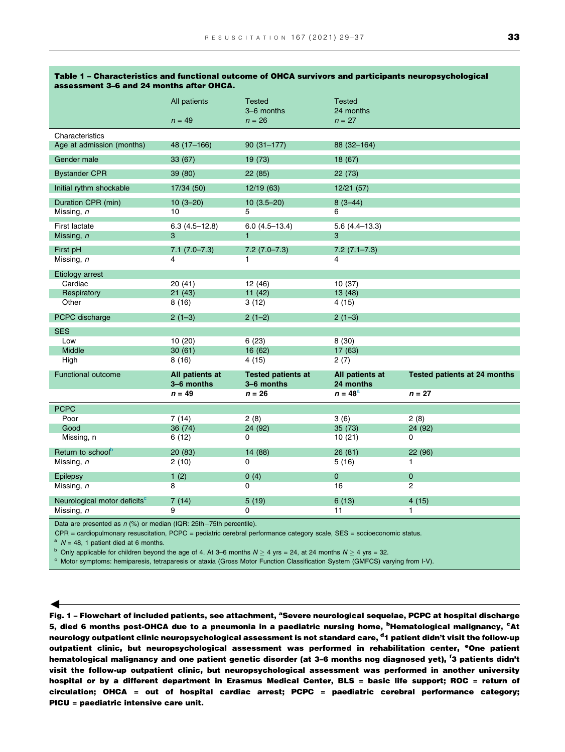|                                                                            | All patients           | <b>Tested</b><br>3-6 months | <b>Tested</b><br>24 months |                                     |  |  |  |  |  |  |
|----------------------------------------------------------------------------|------------------------|-----------------------------|----------------------------|-------------------------------------|--|--|--|--|--|--|
|                                                                            | $n = 49$               | $n = 26$                    | $n = 27$                   |                                     |  |  |  |  |  |  |
| Characteristics<br>Age at admission (months)                               | 48 (17-166)            | $90(31 - 177)$              | 88 (32-164)                |                                     |  |  |  |  |  |  |
| Gender male                                                                | 33 (67)                | 19 (73)                     | 18 (67)                    |                                     |  |  |  |  |  |  |
| <b>Bystander CPR</b>                                                       | 39 (80)                | 22(85)                      | 22 (73)                    |                                     |  |  |  |  |  |  |
| Initial rythm shockable                                                    | 17/34 (50)             | 12/19(63)                   | 12/21 (57)                 |                                     |  |  |  |  |  |  |
| Duration CPR (min)<br>Missing, n                                           | $10(3-20)$<br>10       | $10(3.5-20)$<br>5           | $8(3-44)$<br>6             |                                     |  |  |  |  |  |  |
| <b>First lactate</b>                                                       | $6.3(4.5-12.8)$        | $6.0(4.5-13.4)$             | $5.6(4.4-13.3)$            |                                     |  |  |  |  |  |  |
| Missing, n                                                                 | 3                      |                             | 3                          |                                     |  |  |  |  |  |  |
| First pH                                                                   | $7.1(7.0 - 7.3)$       | $7.2(7.0 - 7.3)$            | $7.2(7.1 - 7.3)$           |                                     |  |  |  |  |  |  |
| Missing, n                                                                 | 4                      | 1                           | 4                          |                                     |  |  |  |  |  |  |
| Etiology arrest                                                            |                        |                             |                            |                                     |  |  |  |  |  |  |
| Cardiac                                                                    | 20 (41)                | 12 (46)                     | 10 (37)                    |                                     |  |  |  |  |  |  |
| Respiratory                                                                | 21(43)                 | 11(42)                      | 13(48)                     |                                     |  |  |  |  |  |  |
| Other                                                                      | 8(16)                  | 3(12)                       | 4(15)                      |                                     |  |  |  |  |  |  |
| PCPC discharge                                                             | $2(1-3)$               | $2(1-2)$                    | $2(1-3)$                   |                                     |  |  |  |  |  |  |
| <b>SES</b>                                                                 |                        |                             |                            |                                     |  |  |  |  |  |  |
| Low                                                                        | 10(20)                 | 6(23)                       | 8(30)                      |                                     |  |  |  |  |  |  |
| Middle                                                                     | 30(61)                 | 16 (62)                     | 17 (63)                    |                                     |  |  |  |  |  |  |
| High                                                                       | 8(16)                  | 4 (15)                      | 2(7)                       |                                     |  |  |  |  |  |  |
| <b>Functional outcome</b>                                                  | All patients at        | <b>Tested patients at</b>   | All patients at            | <b>Tested patients at 24 months</b> |  |  |  |  |  |  |
|                                                                            | 3-6 months<br>$n = 49$ | 3-6 months<br>$n = 26$      | 24 months<br>$n = 48a$     | $n = 27$                            |  |  |  |  |  |  |
|                                                                            |                        |                             |                            |                                     |  |  |  |  |  |  |
| <b>PCPC</b><br>Poor                                                        | 7(14)                  | 2(8)                        | 3(6)                       | 2(8)                                |  |  |  |  |  |  |
| Good                                                                       | 36 (74)                | 24 (92)                     | 35(73)                     | 24 (92)                             |  |  |  |  |  |  |
| Missing, n                                                                 | 6(12)                  | 0                           | 10(21)                     | 0                                   |  |  |  |  |  |  |
| Return to school <sup>b</sup>                                              | 20 (83)                | 14 (88)                     | 26 (81)                    | 22 (96)                             |  |  |  |  |  |  |
| Missing, n                                                                 | 2(10)                  | $\mathbf 0$                 | 5(16)                      | 1                                   |  |  |  |  |  |  |
| Epilepsy                                                                   | 1(2)                   | 0(4)                        | $\overline{0}$             | $\mathbf{O}$                        |  |  |  |  |  |  |
| Missing, n                                                                 | 8                      | $\mathbf 0$                 | 16                         | 2                                   |  |  |  |  |  |  |
| Neurological motor deficits <sup>c</sup>                                   | 7(14)                  | 5(19)                       | 6(13)                      | 4(15)                               |  |  |  |  |  |  |
| Missing, n                                                                 | 9                      | 0                           | 11                         | 1                                   |  |  |  |  |  |  |
| Data are presented as $p(9/)x$ ar modian (IOD: $2Fth$ , $7Fth$ persentile) |                        |                             |                            |                                     |  |  |  |  |  |  |

#### <span id="page-4-0"></span>Table 1 – Characteristics and functional outcome of OHCA survivors and participants neuropsychological assessment 3–6 and 24 months after OHCA.

Data are presented as *n* (%) or median (IQR: 25th–75th percentile).<br>CPR = cardiopulmonary resuscitation, PCPC = pediatric cerebral performance category scale, SES = socioeconomic status.

 $A^a$  N = 48, 1 patient died at 6 months.

 $\blacktriangleleft$ 

<sup>b</sup> Only applicable for children beyond the age of 4. At 3–6 months  $N \ge 4$  yrs = 24, at 24 months  $N \ge 4$  yrs = 32.<br><sup>c</sup> Motor symptoms: hemiparesis, tetraparesis or ataxia (Gross Motor Function Classification System (GMF

Fig. 1 – Flowchart of included patients, see attachment, <sup>a</sup>Severe neurological sequelae, PCPC at hospital discharge 5, died 6 months post-OHCA due to a pneumonia in a paediatric nursing home, <sup>b</sup>Hematological malignancy, <sup>c</sup>At neurology outpatient clinic neuropsychological assessment is not standard care, <sup>d</sup>1 patient didn't visit the follow-up outpatient clinic, but neuropsychological assessment was performed in rehabilitation center, <sup>e</sup>One patient hematological malignancy and one patient genetic disorder (at 3–6 months nog diagnosed yet), <sup>f</sup>3 patients didn't visit the follow-up outpatient clinic, but neuropsychological assessment was performed in another university hospital or by a different department in Erasmus Medical Center, BLS = basic life support; ROC = return of circulation; OHCA = out of hospital cardiac arrest; PCPC = paediatric cerebral performance category; PICU = paediatric intensive care unit.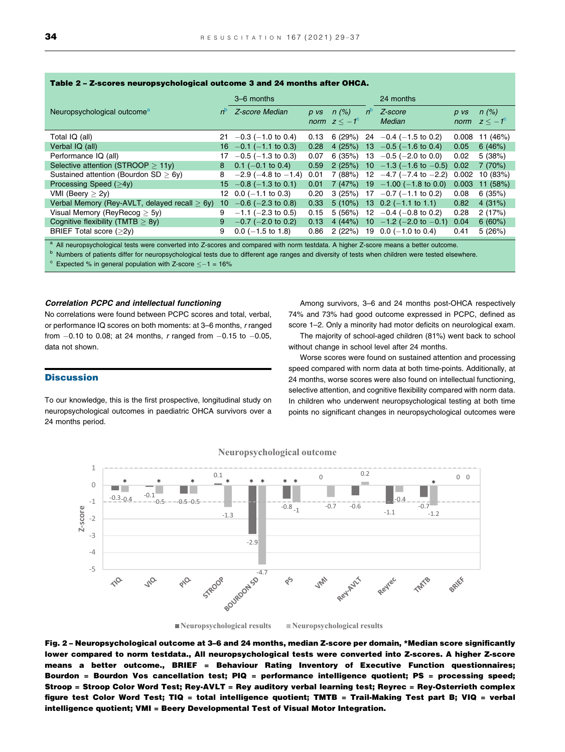| $\frac{1}{2}$ and $\frac{1}{2}$ - $\frac{1}{2}$ - $\frac{1}{2}$ . Then open up to the property of the velocity of the set of $\frac{1}{2}$ |                                                  |                 |                             |          |                                    |             |                                         |          |                                    |  |  |  |
|--------------------------------------------------------------------------------------------------------------------------------------------|--------------------------------------------------|-----------------|-----------------------------|----------|------------------------------------|-------------|-----------------------------------------|----------|------------------------------------|--|--|--|
|                                                                                                                                            |                                                  |                 | 3–6 months                  |          |                                    |             | 24 months                               |          |                                    |  |  |  |
|                                                                                                                                            | Neuropsychological outcome <sup>a</sup>          | $n^{\circ}$     | Z-score Median              | $D$ $VS$ | n(%)<br>norm $z < -1$ <sup>c</sup> | $n^{\circ}$ | Z-score<br>Median                       | $D$ $VS$ | n(%)<br>norm $z < -1$ <sup>c</sup> |  |  |  |
|                                                                                                                                            | Total IQ (all)                                   | 21              | $-0.3$ ( $-1.0$ to 0.4)     | 0.13     | 6(29%)                             |             | $24 -0.4 (-1.5 \text{ to } 0.2)$        | 0.008    | 11 (46%)                           |  |  |  |
|                                                                                                                                            | Verbal IQ (all)                                  | 16              | $-0.1$ (-1.1 to 0.3)        | 0.28     | 4(25%)                             |             | $13 -0.5 (-1.6 \text{ to } 0.4)$        | 0.05     | 6(46%)                             |  |  |  |
|                                                                                                                                            | Performance IQ (all)                             | 17              | $-0.5$ ( $-1.3$ to 0.3)     | 0.07     | 6(35%)                             | 13          | $-0.5$ ( $-2.0$ to 0.0)                 | 0.02     | 5(38%)                             |  |  |  |
|                                                                                                                                            | Selective attention (STROOP $>11y$ )             | 8               | $0.1$ (-0.1 to 0.4)         | 0.59     | 2(25%)                             |             | $10 - 1.3 (-1.6 \text{ to } -0.5) 0.02$ |          | 7(70%)                             |  |  |  |
|                                                                                                                                            | Sustained attention (Bourdon $SD > 6y$ )         | 8               | $-2.9$ ( $-4.8$ to $-1.4$ ) | 0.01     | 7(88%)                             | 12          | $-4.7$ ( $-7.4$ to $-2.2$ )             | 0.002    | 10 (83%)                           |  |  |  |
|                                                                                                                                            | Processing Speed (>4y)                           | 15              | $-0.8$ (-1.3 to 0.1)        | 0.01     | 7(47%)                             |             | $19 - 1.00 (-1.8 \text{ to } 0.0)$      | 0.003    | 11 (58%)                           |  |  |  |
|                                                                                                                                            | VMI (Beery $> 2y$ )                              |                 | 12 $0.0$ (-1.1 to 0.3)      | 0.20     | 3(25%)                             |             | $17 -0.7(-1.1)$ to 0.2)                 | 0.08     | 6(35%)                             |  |  |  |
|                                                                                                                                            | Verbal Memory (Rey-AVLT, delayed recall $> 6y$ ) | 10 <sup>°</sup> | $-0.6$ ( $-2.3$ to 0.8)     | 0.33     | $5(10\%)$                          |             | 13 0.2 $(-1.1 \text{ to } 1.1)$         | 0.82     | 4(31%)                             |  |  |  |
|                                                                                                                                            | Visual Memory (ReyRecog $>$ 5y)                  | 9               | $-1.1$ ( $-2.3$ to 0.5)     | 0.15     | 5(56%)                             |             | 12 $-0.4$ ( $-0.8$ to 0.2)              | 0.28     | 2(17%)                             |  |  |  |
|                                                                                                                                            | Cognitive flexibility (TMTB $> 8y$ )             | 9               | $-0.7$ ( $-2.0$ to 0.2)     | 0.13     | 4(44%)                             |             | 10 $-1.2$ (-2.0 to -0.1)                | 0.04     | 6(60%)                             |  |  |  |
|                                                                                                                                            | BRIEF Total score $(>2v)$                        | 9               | $0.0$ (-1.5 to 1.8)         | 0.86     | 2(22%)                             |             | 19 $0.0$ (-1.0 to 0.4)                  | 0.41     | 5(26%)                             |  |  |  |
|                                                                                                                                            |                                                  |                 |                             |          |                                    |             |                                         |          |                                    |  |  |  |

#### <span id="page-5-0"></span>Table 2 – Z-scores neuropsychological outcome 3 and 24 months after OHCA.

All neuropsychological tests were converted into Z-scores and compared with norm testdata. A higher Z-score means a better outcome.

<sup>b</sup> Numbers of patients differ for neuropsychological tests due to different age ranges and diversity of tests when children were tested elsewhere.

 $\degree$  Expected % in general population with Z-score  $\leq -1$  = 16%

# Correlation PCPC and intellectual functioning

No correlations were found between PCPC scores and total, verbal, or performance IQ scores on both moments: at 3–6 months, r ranged from  $-0.10$  to 0.08; at 24 months, r ranged from  $-0.15$  to  $-0.05$ , data not shown.

Among survivors, 3–6 and 24 months post-OHCA respectively 74% and 73% had good outcome expressed in PCPC, defined as score 1–2. Only a minority had motor deficits on neurological exam.

The majority of school-aged children (81%) went back to school without change in school level after 24 months.

Worse scores were found on sustained attention and processing

# **Discussion**

To our knowledge, this is the first prospective, longitudinal study on neuropsychological outcomes in paediatric OHCA survivors over a 24 months period.





**Neuropsychological results Neuropsychological results**

Fig. 2 – Neuropsychological outcome at 3–6 and 24 months, median Z-score per domain, \*Median score significantly lower compared to norm testdata., All neuropsychological tests were converted into Z-scores. A higher Z-score means a better outcome., BRIEF = Behaviour Rating Inventory of Executive Function questionnaires; Bourdon = Bourdon Vos cancellation test; PIQ = performance intelligence quotient; PS = processing speed; Stroop = Stroop Color Word Test; Rey-AVLT = Rey auditory verbal learning test; Reyrec = Rey-Osterrieth complex figure test Color Word Test; TIQ = total intelligence quotient; TMTB = Trail-Making Test part B; VIQ = verbal intelligence quotient; VMI = Beery Developmental Test of Visual Motor Integration.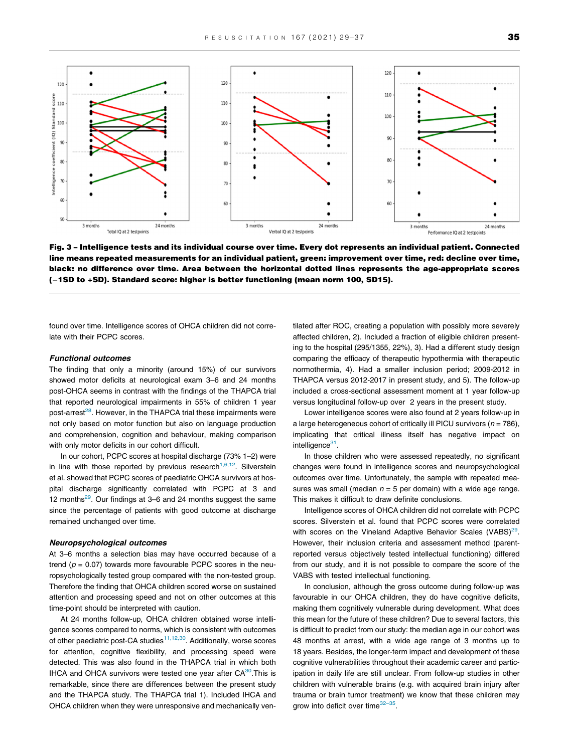<span id="page-6-0"></span>

Fig. 3 – Intelligence tests and its individual course over time. Every dot represents an individual patient. Connected line means repeated measurements for an individual patient, green: improvement over time, red: decline over time, black: no difference over time. Area between the horizontal dotted lines represents the age-appropriate scores (-1SD to +SD). Standard score: higher is better functioning (mean norm 100, SD15).

found over time. Intelligence scores of OHCA children did not correlate with their PCPC scores.

#### Functional outcomes

The finding that only a minority (around 15%) of our survivors showed motor deficits at neurological exam 3–6 and 24 months post-OHCA seems in contrast with the findings of the THAPCA trial that reported neurological impairments in 55% of children 1 year post-arrest<sup>[28](#page-8-0)</sup>. However, in the THAPCA trial these impairments were not only based on motor function but also on language production and comprehension, cognition and behaviour, making comparison with only motor deficits in our cohort difficult.

In our cohort, PCPC scores at hospital discharge (73% 1–2) were in line with those reported by previous research<sup>[1,6,12](#page-7-0)</sup>. Silverstein et al. showed that PCPC scores of paediatric OHCA survivors at hospital discharge significantly correlated with PCPC at 3 and 12 months $^{29}$ . Our findings at 3–6 and 24 months suggest the same since the percentage of patients with good outcome at discharge remained unchanged over time.

#### Neuropsychological outcomes

At 3–6 months a selection bias may have occurred because of a trend ( $p = 0.07$ ) towards more favourable PCPC scores in the neuropsychologically tested group compared with the non-tested group. Therefore the finding that OHCA children scored worse on sustained attention and processing speed and not on other outcomes at this time-point should be interpreted with caution.

At 24 months follow-up, OHCA children obtained worse intelligence scores compared to norms, which is consistent with outcomes of other paediatric post-CA studies<sup>11,12,30</sup>. Additionally, worse scores for attention, cognitive flexibility, and processing speed were detected. This was also found in the THAPCA trial in which both IHCA and OHCA survivors were tested one year after  $CA^{30}$  $CA^{30}$  $CA^{30}$ . This is remarkable, since there are differences between the present study and the THAPCA study. The THAPCA trial 1). Included IHCA and OHCA children when they were unresponsive and mechanically ven-

tilated after ROC, creating a population with possibly more severely affected children, 2). Included a fraction of eligible children presenting to the hospital (295/1355, 22%), 3). Had a different study design comparing the efficacy of therapeutic hypothermia with therapeutic normothermia, 4). Had a smaller inclusion period; 2009-2012 in THAPCA versus 2012-2017 in present study, and 5). The follow-up included a cross-sectional assessment moment at 1 year follow-up versus longitudinal follow-up over 2 years in the present study.

Lower intelligence scores were also found at 2 years follow-up in a large heterogeneous cohort of critically ill PICU survivors ( $n = 786$ ), implicating that critical illness itself has negative impact on intelligence<sup>31</sup>.

In those children who were assessed repeatedly, no significant changes were found in intelligence scores and neuropsychological outcomes over time. Unfortunately, the sample with repeated measures was small (median  $n = 5$  per domain) with a wide age range. This makes it difficult to draw definite conclusions.

Intelligence scores of OHCA children did not correlate with PCPC scores. Silverstein et al. found that PCPC scores were correlated with scores on the Vineland Adaptive Behavior Scales (VABS) $^{29}$ . However, their inclusion criteria and assessment method (parentreported versus objectively tested intellectual functioning) differed from our study, and it is not possible to compare the score of the VABS with tested intellectual functioning.

In conclusion, although the gross outcome during follow-up was favourable in our OHCA children, they do have cognitive deficits, making them cognitively vulnerable during development. What does this mean for the future of these children? Due to several factors, this is difficult to predict from our study: the median age in our cohort was 48 months at arrest, with a wide age range of 3 months up to 18 years. Besides, the longer-term impact and development of these cognitive vulnerabilities throughout their academic career and participation in daily life are still unclear. From follow-up studies in other children with vulnerable brains (e.g. with acquired brain injury after trauma or brain tumor treatment) we know that these children may grow into deficit over time<sup>32-35</sup>.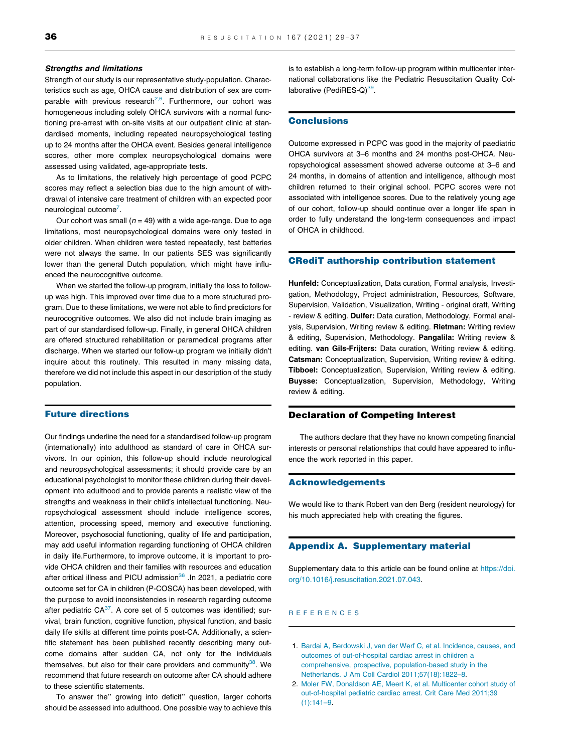#### <span id="page-7-0"></span>Strengths and limitations

Strength of our study is our representative study-population. Characteristics such as age, OHCA cause and distribution of sex are comparable with previous research $2,6$ . Furthermore, our cohort was homogeneous including solely OHCA survivors with a normal functioning pre-arrest with on-site visits at our outpatient clinic at standardised moments, including repeated neuropsychological testing up to 24 months after the OHCA event. Besides general intelligence scores, other more complex neuropsychological domains were assessed using validated, age-appropriate tests.

As to limitations, the relatively high percentage of good PCPC scores may reflect a selection bias due to the high amount of withdrawal of intensive care treatment of children with an expected poor neurological outcome<sup>[7](#page-8-0)</sup>.

Our cohort was small ( $n = 49$ ) with a wide age-range. Due to age limitations, most neuropsychological domains were only tested in older children. When children were tested repeatedly, test batteries were not always the same. In our patients SES was significantly lower than the general Dutch population, which might have influenced the neurocognitive outcome.

When we started the follow-up program, initially the loss to followup was high. This improved over time due to a more structured program. Due to these limitations, we were not able to find predictors for neurocognitive outcomes. We also did not include brain imaging as part of our standardised follow-up. Finally, in general OHCA children are offered structured rehabilitation or paramedical programs after discharge. When we started our follow-up program we initially didn't inquire about this routinely. This resulted in many missing data, therefore we did not include this aspect in our description of the study population.

# Future directions

Our findings underline the need for a standardised follow-up program (internationally) into adulthood as standard of care in OHCA survivors. In our opinion, this follow-up should include neurological and neuropsychological assessments; it should provide care by an educational psychologist to monitor these children during their development into adulthood and to provide parents a realistic view of the strengths and weakness in their child's intellectual functioning. Neuropsychological assessment should include intelligence scores, attention, processing speed, memory and executive functioning. Moreover, psychosocial functioning, quality of life and participation, may add useful information regarding functioning of OHCA children in daily life.Furthermore, to improve outcome, it is important to provide OHCA children and their families with resources and education after critical illness and PICU admission<sup>36</sup> . In 2021, a pediatric core outcome set for CA in children (P-COSCA) has been developed, with the purpose to avoid inconsistencies in research regarding outcome after pediatric  $CA^{37}$ . A core set of 5 outcomes was identified; survival, brain function, cognitive function, physical function, and basic daily life skills at different time points post-CA. Additionally, a scientific statement has been published recently describing many outcome domains after sudden CA, not only for the individuals themselves, but also for their care providers and community $38$ . We recommend that future research on outcome after CA should adhere to these scientific statements.

To answer the" growing into deficit" question, larger cohorts should be assessed into adulthood. One possible way to achieve this is to establish a long-term follow-up program within multicenter international collaborations like the Pediatric Resuscitation Quality Collaborative (PediRES-Q) $39$ .

# **Conclusions**

Outcome expressed in PCPC was good in the majority of paediatric OHCA survivors at 3–6 months and 24 months post-OHCA. Neuropsychological assessment showed adverse outcome at 3–6 and 24 months, in domains of attention and intelligence, although most children returned to their original school. PCPC scores were not associated with intelligence scores. Due to the relatively young age of our cohort, follow-up should continue over a longer life span in order to fully understand the long-term consequences and impact of OHCA in childhood.

# CRediT authorship contribution statement

Hunfeld: Conceptualization, Data curation, Formal analysis, Investigation, Methodology, Project administration, Resources, Software, Supervision, Validation, Visualization, Writing - original draft, Writing - review & editing. Dulfer: Data curation, Methodology, Formal analysis, Supervision, Writing review & editing. Rietman: Writing review & editing, Supervision, Methodology. Pangalila: Writing review & editing. van Gils-Frijters: Data curation, Writing review & editing. Catsman: Conceptualization, Supervision, Writing review & editing. Tibboel: Conceptualization, Supervision, Writing review & editing. Buysse: Conceptualization, Supervision, Methodology, Writing review & editing.

# Declaration of Competing Interest

The authors declare that they have no known competing financial interests or personal relationships that could have appeared to influence the work reported in this paper.

#### Acknowledgements

We would like to thank Robert van den Berg (resident neurology) for his much appreciated help with creating the figures.

# Appendix A. Supplementary material

Supplementary data to this article can be found online at [https://doi.](https://doi.org/10.1016/j.resuscitation.2021.07.043) [org/10.1016/j.resuscitation.2021.07.043](https://doi.org/10.1016/j.resuscitation.2021.07.043).

## REFERENCES

- 1. [Bardai A, Berdowski J, van der Werf C, et al. Incidence, causes, and](http://refhub.elsevier.com/S0300-9572(21)00303-8/h0005) [outcomes of out-of-hospital cardiac arrest in children a](http://refhub.elsevier.com/S0300-9572(21)00303-8/h0005) [comprehensive, prospective, population-based study in the](http://refhub.elsevier.com/S0300-9572(21)00303-8/h0005) [Netherlands. J Am Coll Cardiol 2011;57\(18\):1822–8.](http://refhub.elsevier.com/S0300-9572(21)00303-8/h0005)
- 2. [Moler FW, Donaldson AE, Meert K, et al. Multicenter cohort study of](http://refhub.elsevier.com/S0300-9572(21)00303-8/h0010) [out-of-hospital pediatric cardiac arrest. Crit Care Med 2011;39](http://refhub.elsevier.com/S0300-9572(21)00303-8/h0010)  $(1):141-9.$